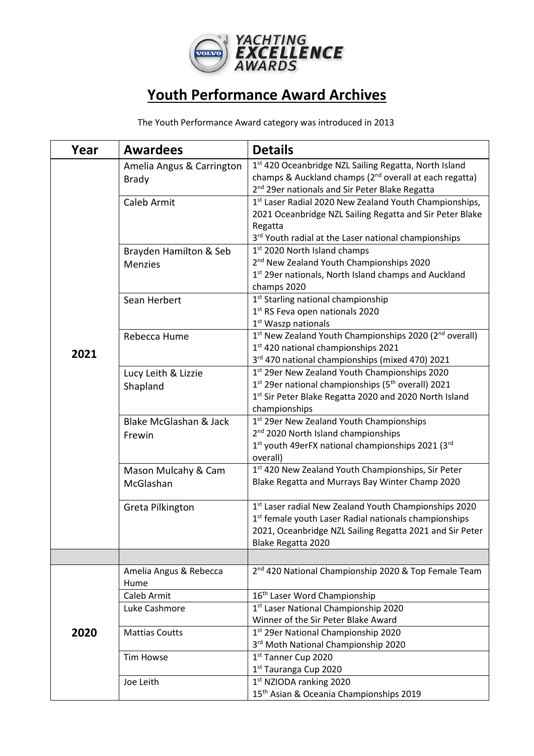

## **Youth Performance Award Archives**

The Youth Performance Award category was introduced in 2013

| Year | <b>Awardees</b>                           | <b>Details</b>                                                                                                                                                                                   |
|------|-------------------------------------------|--------------------------------------------------------------------------------------------------------------------------------------------------------------------------------------------------|
|      | Amelia Angus & Carrington<br><b>Brady</b> | 1st 420 Oceanbridge NZL Sailing Regatta, North Island<br>champs & Auckland champs (2 <sup>nd</sup> overall at each regatta)<br>2 <sup>nd</sup> 29er nationals and Sir Peter Blake Regatta        |
|      | Caleb Armit                               | 1st Laser Radial 2020 New Zealand Youth Championships,<br>2021 Oceanbridge NZL Sailing Regatta and Sir Peter Blake<br>Regatta<br>3rd Youth radial at the Laser national championships            |
|      | Brayden Hamilton & Seb<br><b>Menzies</b>  | 1st 2020 North Island champs<br>2 <sup>nd</sup> New Zealand Youth Championships 2020<br>1st 29er nationals, North Island champs and Auckland<br>champs 2020                                      |
|      | Sean Herbert                              | 1 <sup>st</sup> Starling national championship<br>1st RS Feva open nationals 2020<br>1 <sup>st</sup> Waszp nationals                                                                             |
| 2021 | Rebecca Hume                              | 1 <sup>st</sup> New Zealand Youth Championships 2020 (2 <sup>nd</sup> overall)<br>1st 420 national championships 2021<br>3rd 470 national championships (mixed 470) 2021                         |
|      | Lucy Leith & Lizzie<br>Shapland           | 1st 29er New Zealand Youth Championships 2020<br>1st 29er national championships (5 <sup>th</sup> overall) 2021<br>1st Sir Peter Blake Regatta 2020 and 2020 North Island<br>championships       |
|      | Blake McGlashan & Jack<br>Frewin          | 1st 29er New Zealand Youth Championships<br>2 <sup>nd</sup> 2020 North Island championships<br>1st youth 49erFX national championships 2021 (3rd<br>overall)                                     |
|      | Mason Mulcahy & Cam<br>McGlashan          | 1st 420 New Zealand Youth Championships, Sir Peter<br>Blake Regatta and Murrays Bay Winter Champ 2020                                                                                            |
|      | Greta Pilkington                          | 1st Laser radial New Zealand Youth Championships 2020<br>1st female youth Laser Radial nationals championships<br>2021, Oceanbridge NZL Sailing Regatta 2021 and Sir Peter<br>Blake Regatta 2020 |
|      |                                           |                                                                                                                                                                                                  |
|      | Amelia Angus & Rebecca<br>Hume            | 2 <sup>nd</sup> 420 National Championship 2020 & Top Female Team                                                                                                                                 |
|      | Caleb Armit                               | 16 <sup>th</sup> Laser Word Championship                                                                                                                                                         |
|      | Luke Cashmore                             | 1st Laser National Championship 2020                                                                                                                                                             |
|      |                                           | Winner of the Sir Peter Blake Award                                                                                                                                                              |
| 2020 | <b>Mattias Coutts</b>                     | 1st 29er National Championship 2020<br>3rd Moth National Championship 2020                                                                                                                       |
|      | <b>Tim Howse</b>                          | 1st Tanner Cup 2020                                                                                                                                                                              |
|      |                                           | 1st Tauranga Cup 2020                                                                                                                                                                            |
|      | Joe Leith                                 | 1st NZIODA ranking 2020                                                                                                                                                                          |
|      |                                           | 15 <sup>th</sup> Asian & Oceania Championships 2019                                                                                                                                              |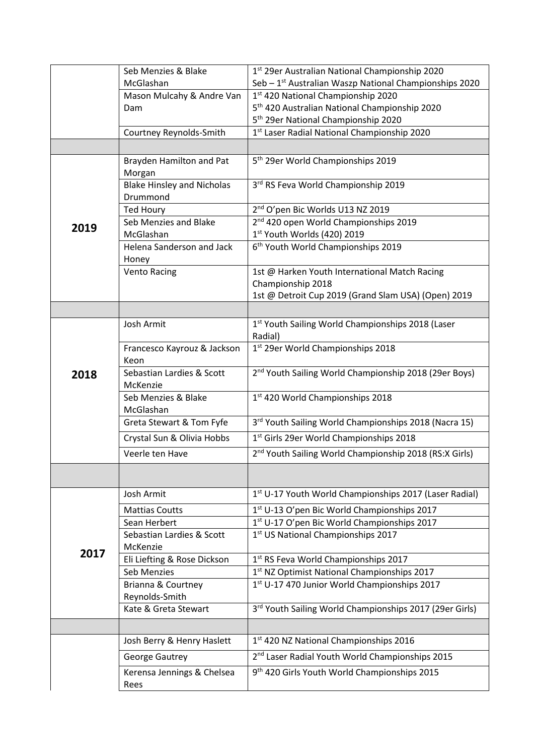|      | Seb Menzies & Blake                           | 1st 29er Australian National Championship 2020                     |
|------|-----------------------------------------------|--------------------------------------------------------------------|
|      | McGlashan                                     | Seb - 1 <sup>st</sup> Australian Waszp National Championships 2020 |
|      | Mason Mulcahy & Andre Van                     | 1st 420 National Championship 2020                                 |
|      | Dam                                           | 5 <sup>th</sup> 420 Australian National Championship 2020          |
|      |                                               | 5 <sup>th</sup> 29er National Championship 2020                    |
|      | Courtney Reynolds-Smith                       | 1st Laser Radial National Championship 2020                        |
|      |                                               |                                                                    |
|      | Brayden Hamilton and Pat<br>Morgan            | 5 <sup>th</sup> 29er World Championships 2019                      |
|      | <b>Blake Hinsley and Nicholas</b><br>Drummond | 3rd RS Feva World Championship 2019                                |
|      | <b>Ted Houry</b>                              | 2 <sup>nd</sup> O'pen Bic Worlds U13 NZ 2019                       |
| 2019 | Seb Menzies and Blake                         | 2 <sup>nd</sup> 420 open World Championships 2019                  |
|      | McGlashan                                     | 1st Youth Worlds (420) 2019                                        |
|      | Helena Sanderson and Jack<br>Honey            | 6 <sup>th</sup> Youth World Championships 2019                     |
|      | <b>Vento Racing</b>                           | 1st @ Harken Youth International Match Racing                      |
|      |                                               | Championship 2018                                                  |
|      |                                               | 1st @ Detroit Cup 2019 (Grand Slam USA) (Open) 2019                |
|      |                                               |                                                                    |
|      | Josh Armit                                    | 1st Youth Sailing World Championships 2018 (Laser<br>Radial)       |
| 2018 | Francesco Kayrouz & Jackson<br>Keon           | 1st 29er World Championships 2018                                  |
|      | Sebastian Lardies & Scott<br>McKenzie         | 2 <sup>nd</sup> Youth Sailing World Championship 2018 (29er Boys)  |
|      | Seb Menzies & Blake<br>McGlashan              | 1st 420 World Championships 2018                                   |
|      | Greta Stewart & Tom Fyfe                      | 3rd Youth Sailing World Championships 2018 (Nacra 15)              |
|      | Crystal Sun & Olivia Hobbs                    | 1 <sup>st</sup> Girls 29er World Championships 2018                |
|      | Veerle ten Have                               | 2 <sup>nd</sup> Youth Sailing World Championship 2018 (RS:X Girls) |
|      |                                               |                                                                    |
|      | Josh Armit                                    | 1st U-17 Youth World Championships 2017 (Laser Radial)             |
|      | <b>Mattias Coutts</b>                         | 1st U-13 O'pen Bic World Championships 2017                        |
|      | Sean Herbert                                  | 1st U-17 O'pen Bic World Championships 2017                        |
|      | Sebastian Lardies & Scott<br>McKenzie         | 1st US National Championships 2017                                 |
| 2017 | Eli Liefting & Rose Dickson                   | 1st RS Feva World Championships 2017                               |
|      | Seb Menzies                                   | 1st NZ Optimist National Championships 2017                        |
|      | Brianna & Courtney                            | 1st U-17 470 Junior World Championships 2017                       |
|      | Reynolds-Smith                                |                                                                    |
|      | Kate & Greta Stewart                          | 3rd Youth Sailing World Championships 2017 (29er Girls)            |
|      |                                               |                                                                    |
|      | Josh Berry & Henry Haslett                    | 1 <sup>st</sup> 420 NZ National Championships 2016                 |
|      | <b>George Gautrey</b>                         | 2 <sup>nd</sup> Laser Radial Youth World Championships 2015        |
|      | Kerensa Jennings & Chelsea<br>Rees            | 9th 420 Girls Youth World Championships 2015                       |